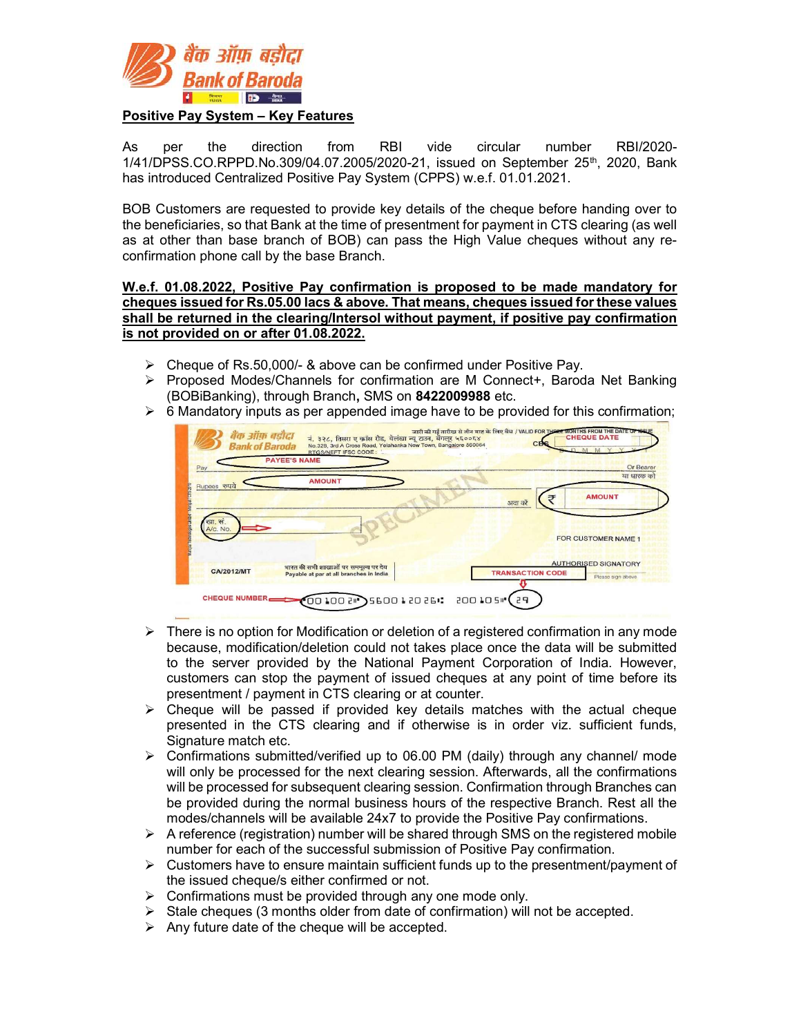

## Positive Pay System – Key Features

As per the direction from RBI vide circular number RBI/2020-  $1/41/DPSS$ .CO.RPPD.No.309/04.07.2005/2020-21, issued on September 25<sup>th</sup>, 2020, Bank has introduced Centralized Positive Pay System (CPPS) w.e.f. 01.01.2021.

BOB Customers are requested to provide key details of the cheque before handing over to the beneficiaries, so that Bank at the time of presentment for payment in CTS clearing (as well as at other than base branch of BOB) can pass the High Value cheques without any reconfirmation phone call by the base Branch.

W.e.f. 01.08.2022, Positive Pay confirmation is proposed to be made mandatory for cheques issued for Rs.05.00 lacs & above. That means, cheques issued for these values shall be returned in the clearing/Intersol without payment, if positive pay confirmation is not provided on or after 01.08.2022.

- Cheque of Rs.50,000/- & above can be confirmed under Positive Pay.
- Proposed Modes/Channels for confirmation are M Connect+, Baroda Net Banking (BOBiBanking), through Branch, SMS on 8422009988 etc.
- 



- $\triangleright$  There is no option for Modification or deletion of a registered confirmation in any mode because, modification/deletion could not takes place once the data will be submitted to the server provided by the National Payment Corporation of India. However, customers can stop the payment of issued cheques at any point of time before its presentment / payment in CTS clearing or at counter.
- $\triangleright$  Cheque will be passed if provided key details matches with the actual cheque presented in the CTS clearing and if otherwise is in order viz. sufficient funds, Signature match etc.
- $\triangleright$  Confirmations submitted/verified up to 06.00 PM (daily) through any channel/ mode will only be processed for the next clearing session. Afterwards, all the confirmations will be processed for subsequent clearing session. Confirmation through Branches can be provided during the normal business hours of the respective Branch. Rest all the modes/channels will be available 24x7 to provide the Positive Pay confirmations.
- $\triangleright$  A reference (registration) number will be shared through SMS on the registered mobile number for each of the successful submission of Positive Pay confirmation.
- $\triangleright$  Customers have to ensure maintain sufficient funds up to the presentment/payment of the issued cheque/s either confirmed or not.
- $\triangleright$  Confirmations must be provided through any one mode only.
- Stale cheques (3 months older from date of confirmation) will not be accepted.
- $\triangleright$  Any future date of the cheque will be accepted.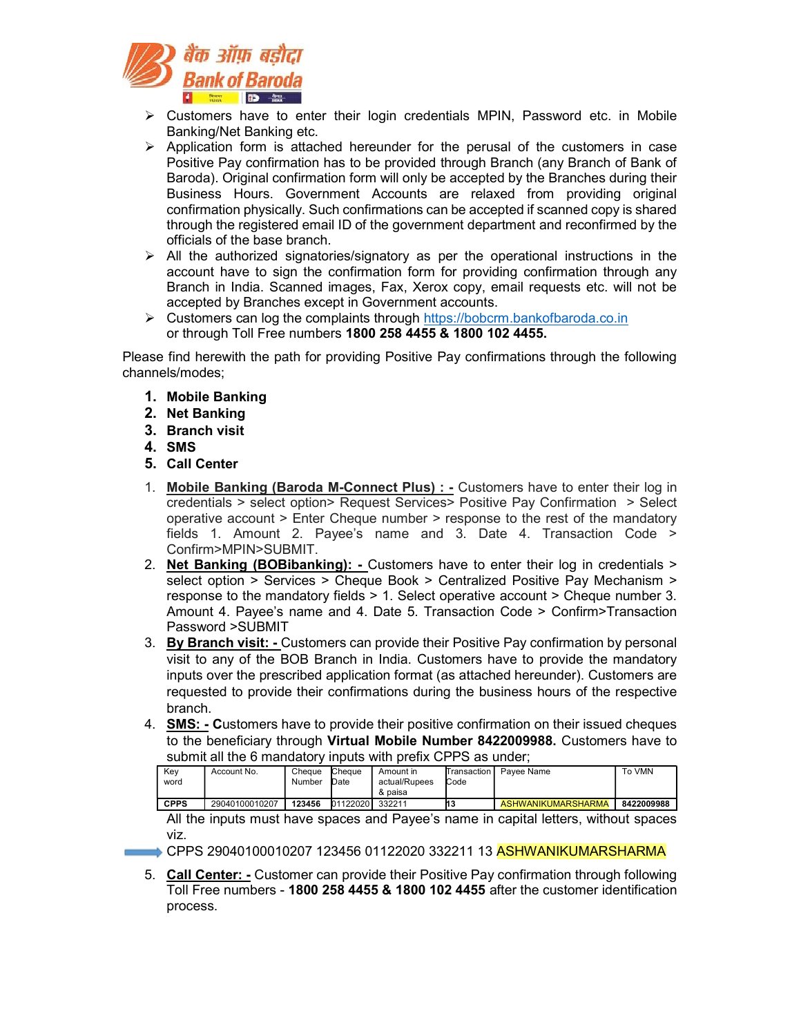

- $\triangleright$  Customers have to enter their login credentials MPIN, Password etc. in Mobile Banking/Net Banking etc.
- $\triangleright$  Application form is attached hereunder for the perusal of the customers in case Positive Pay confirmation has to be provided through Branch (any Branch of Bank of Baroda). Original confirmation form will only be accepted by the Branches during their Business Hours. Government Accounts are relaxed from providing original confirmation physically. Such confirmations can be accepted if scanned copy is shared through the registered email ID of the government department and reconfirmed by the officials of the base branch.
- $\triangleright$  All the authorized signatories/signatory as per the operational instructions in the account have to sign the confirmation form for providing confirmation through any Branch in India. Scanned images, Fax, Xerox copy, email requests etc. will not be accepted by Branches except in Government accounts.
- Customers can log the complaints through https://bobcrm.bankofbaroda.co.in or through Toll Free numbers 1800 258 4455 & 1800 102 4455.

Please find herewith the path for providing Positive Pay confirmations through the following channels/modes;

- 1. Mobile Banking
- 2. Net Banking
- 3. Branch visit
- 4. SMS
- 5. Call Center
- 1. Mobile Banking (Baroda M-Connect Plus) : Customers have to enter their log in credentials > select option> Request Services> Positive Pay Confirmation > Select operative account > Enter Cheque number > response to the rest of the mandatory fields 1. Amount 2. Payee's name and 3. Date 4. Transaction Code > Confirm>MPIN>SUBMIT.
- 2. Net Banking (BOBibanking): Customers have to enter their log in credentials > select option > Services > Cheque Book > Centralized Positive Pay Mechanism > response to the mandatory fields > 1. Select operative account > Cheque number 3. Amount 4. Payee's name and 4. Date 5. Transaction Code > Confirm>Transaction Password >SUBMIT
- 3. By Branch visit: Customers can provide their Positive Pay confirmation by personal visit to any of the BOB Branch in India. Customers have to provide the mandatory inputs over the prescribed application format (as attached hereunder). Customers are requested to provide their confirmations during the business hours of the respective branch.
- 4. SMS: Customers have to provide their positive confirmation on their issued cheques to the beneficiary through Virtual Mobile Number 8422009988. Customers have to submit all the 6 mandatory inputs with prefix CPPS as under;

| Kev         | Account No.    | Cheque | Cheque   | Amount in     | Transaction | Pavee Name         | To VMN     |
|-------------|----------------|--------|----------|---------------|-------------|--------------------|------------|
| word        |                | Number | Date     | actual/Rupees | Code        |                    |            |
|             |                |        |          | & paisa       |             |                    |            |
| <b>CPPS</b> | 29040100010207 | 123456 | 01122020 | 332211        | И3          | ASHWANIKUMARSHARMA | 8422009988 |

All the inputs must have spaces and Payee's name in capital letters, without spaces viz.

- → CPPS 29040100010207 123456 01122020 332211 13 ASHWANIKUMARSHARMA
- 5. Call Center: Customer can provide their Positive Pay confirmation through following Toll Free numbers - 1800 258 4455 & 1800 102 4455 after the customer identification process.